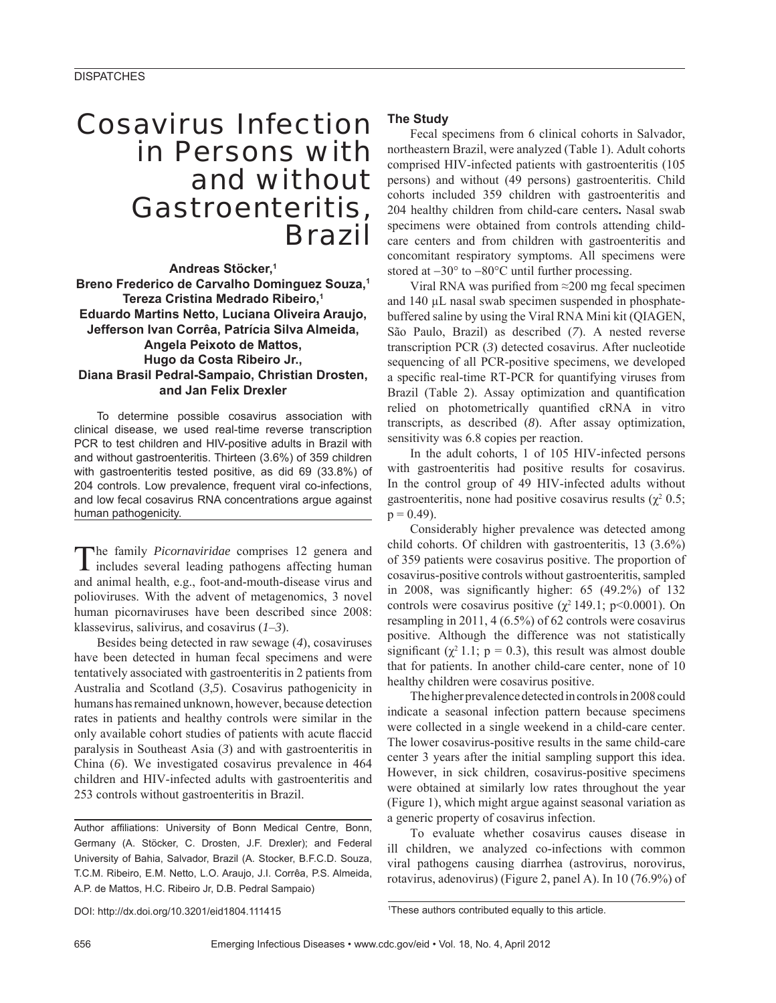## Cosavirus Infection in Persons with and without Gastroenteritis, Brazil

**Andreas Stöcker,1 Breno Frederico de Carvalho Dominguez Souza,1 Tereza Cristina Medrado Ribeiro,1 Eduardo Martins Netto, Luciana Oliveira Araujo, Jefferson Ivan Corrêa, Patrícia Silva Almeida, Angela Peixoto de Mattos, Hugo da Costa Ribeiro Jr., Diana Brasil Pedral-Sampaio, Christian Drosten, and Jan Felix Drexler**

To determine possible cosavirus association with clinical disease, we used real-time reverse transcription PCR to test children and HIV-positive adults in Brazil with and without gastroenteritis. Thirteen (3.6%) of 359 children with gastroenteritis tested positive, as did 69 (33.8%) of 204 controls. Low prevalence, frequent viral co-infections, and low fecal cosavirus RNA concentrations argue against human pathogenicity.

The family *Picornaviridae* comprises 12 genera and includes several leading pathogens affecting human and animal health, e.g., foot-and-mouth-disease virus and polioviruses. With the advent of metagenomics, 3 novel human picornaviruses have been described since 2008: klassevirus, salivirus, and cosavirus (*1*–*3*).

Besides being detected in raw sewage (*4*), cosaviruses have been detected in human fecal specimens and were tentatively associated with gastroenteritis in 2 patients from Australia and Scotland (*3*,*5*). Cosavirus pathogenicity in humans has remained unknown, however, because detection rates in patients and healthy controls were similar in the only available cohort studies of patients with acute flaccid paralysis in Southeast Asia (*3*) and with gastroenteritis in China (*6*). We investigated cosavirus prevalence in 464 children and HIV-infected adults with gastroenteritis and 253 controls without gastroenteritis in Brazil.

Author affiliations: University of Bonn Medical Centre, Bonn, Germany (A. Stöcker, C. Drosten, J.F. Drexler); and Federal University of Bahia, Salvador, Brazil (A. Stocker, B.F.C.D. Souza, T.C.M. Ribeiro, E.M. Netto, L.O. Araujo, J.I. Corrêa, P.S. Almeida, A.P. de Mattos, H.C. Ribeiro Jr, D.B. Pedral Sampaio)

### **The Study**

Fecal specimens from 6 clinical cohorts in Salvador, northeastern Brazil, were analyzed (Table 1). Adult cohorts comprised HIV-infected patients with gastroenteritis (105 persons) and without (49 persons) gastroenteritis. Child cohorts included 359 children with gastroenteritis and 204 healthy children from child-care centers**.** Nasal swab specimens were obtained from controls attending childcare centers and from children with gastroenteritis and concomitant respiratory symptoms. All specimens were stored at −30° to −80°C until further processing.

Viral RNA was purified from  $\approx$ 200 mg fecal specimen and 140 μL nasal swab specimen suspended in phosphatebuffered saline by using the Viral RNA Mini kit (QIAGEN, São Paulo, Brazil) as described (*7*). A nested reverse transcription PCR (*3*) detected cosavirus. After nucleotide sequencing of all PCR-positive specimens, we developed a specific real-time RT-PCR for quantifying viruses from Brazil (Table 2). Assay optimization and quantification relied on photometrically quantified cRNA in vitro transcripts, as described (*8*). After assay optimization, sensitivity was 6.8 copies per reaction.

In the adult cohorts, 1 of 105 HIV-infected persons with gastroenteritis had positive results for cosavirus. In the control group of 49 HIV-infected adults without gastroenteritis, none had positive cosavirus results  $(\chi^2 0.5)$ ;  $p = 0.49$ ).

Considerably higher prevalence was detected among child cohorts. Of children with gastroenteritis, 13 (3.6%) of 359 patients were cosavirus positive. The proportion of cosavirus-positive controls without gastroenteritis, sampled in 2008, was significantly higher:  $65$   $(49.2\%)$  of 132 controls were cosavirus positive ( $\chi^2$  149.1; p<0.0001). On resampling in 2011, 4 (6.5%) of 62 controls were cosavirus positive. Although the difference was not statistically significant ( $\chi^2$  1.1; p = 0.3), this result was almost double that for patients. In another child-care center, none of 10 healthy children were cosavirus positive.

The higher prevalence detected in controls in 2008 could indicate a seasonal infection pattern because specimens were collected in a single weekend in a child-care center. The lower cosavirus-positive results in the same child-care center 3 years after the initial sampling support this idea. However, in sick children, cosavirus-positive specimens were obtained at similarly low rates throughout the year (Figure 1), which might argue against seasonal variation as a generic property of cosavirus infection.

To evaluate whether cosavirus causes disease in ill children, we analyzed co-infections with common viral pathogens causing diarrhea (astrovirus, norovirus, rotavirus, adenovirus) (Figure 2, panel A). In 10 (76.9%) of

DOI: http://dx.doi.org/10.3201/eid1804.111415 <sup>1</sup>

<sup>&</sup>lt;sup>1</sup>These authors contributed equally to this article.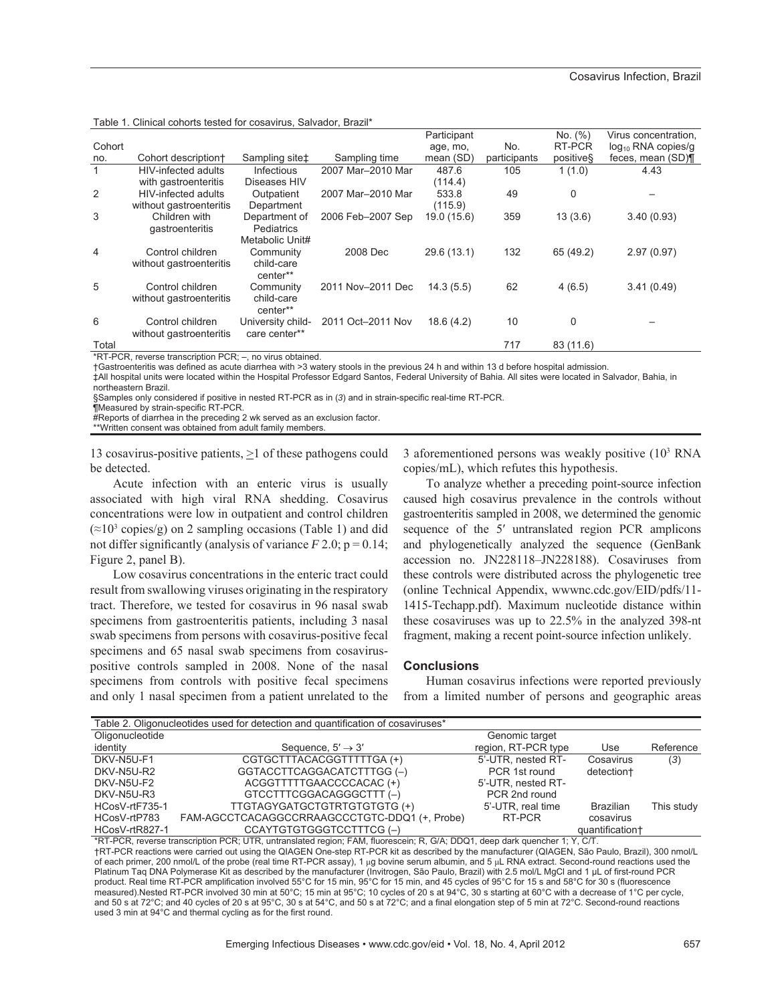| Table 1. Clinical cohorts tested for cosavirus, Salvador, Brazil* |
|-------------------------------------------------------------------|
|-------------------------------------------------------------------|

|              | Table T. Ollinoal cononto tootoa for cobavillas, oanvador, Drazil |                            |                   |             |              |           |                         |
|--------------|-------------------------------------------------------------------|----------------------------|-------------------|-------------|--------------|-----------|-------------------------|
|              |                                                                   |                            |                   | Participant |              | No. (%)   | Virus concentration,    |
| Cohort       |                                                                   |                            |                   | age, mo,    | No.          | RT-PCR    | $log_{10}$ RNA copies/g |
| no.          | Cohort description+                                               | Sampling site <sup>+</sup> | Sampling time     | mean (SD)   | participants | positives | feces, mean (SD)¶       |
| $\mathbf{1}$ | HIV-infected adults                                               | <b>Infectious</b>          | 2007 Mar-2010 Mar | 487.6       | 105          | 1(1.0)    | 4.43                    |
|              | with gastroenteritis                                              | Diseases HIV               |                   | (114.4)     |              |           |                         |
| 2            | <b>HIV-infected adults</b>                                        | Outpatient                 | 2007 Mar-2010 Mar | 533.8       | 49           | 0         |                         |
|              | without gastroenteritis                                           | Department                 |                   | (115.9)     |              |           |                         |
| 3            | Children with                                                     | Department of              | 2006 Feb-2007 Sep | 19.0 (15.6) | 359          | 13(3.6)   | 3.40(0.93)              |
|              | gastroenteritis                                                   | <b>Pediatrics</b>          |                   |             |              |           |                         |
|              |                                                                   | Metabolic Unit#            |                   |             |              |           |                         |
| 4            | Control children                                                  | Community                  | 2008 Dec          | 29.6 (13.1) | 132          | 65 (49.2) | 2.97(0.97)              |
|              | without gastroenteritis                                           | child-care                 |                   |             |              |           |                         |
|              |                                                                   | center**                   |                   |             |              |           |                         |
| 5            | Control children                                                  | Community                  | 2011 Nov-2011 Dec | 14.3(5.5)   | 62           | 4(6.5)    | 3.41(0.49)              |
|              | without gastroenteritis                                           | child-care                 |                   |             |              |           |                         |
|              |                                                                   | center**                   |                   |             |              |           |                         |
| 6            | Control children                                                  | University child-          | 2011 Oct-2011 Nov | 18.6(4.2)   | 10           | 0         |                         |
|              | without gastroenteritis                                           | care center**              |                   |             |              |           |                         |
| Total        |                                                                   |                            |                   |             | 717          | 83 (11.6) |                         |

\*RT-PCR, reverse transcription PCR; –, no virus obtained.

†Gastroenteritis was defined as acute diarrhea with >3 watery stools in the previous 24 h and within 13 d before hospital admission.

‡All hospital units were located within the Hospital Professor Edgard Santos, Federal University of Bahia. All sites were located in Salvador, Bahia, in northeastern Brazil.

§Samples only considered if positive in nested RT-PCR as in (*3*) and in strain-specific real-time RT-PCR.

¶Measured by strain-specific RT-PCR.

#Reports of diarrhea in the preceding 2 wk served as an exclusion factor.

\*\*Written consent was obtained from adult family members.

13 cosavirus-positive patients,  $\geq 1$  of these pathogens could be detected.

Acute infection with an enteric virus is usually associated with high viral RNA shedding. Cosavirus concentrations were low in outpatient and control children  $(\approx 10^3 \text{ copies/g})$  on 2 sampling occasions (Table 1) and did not differ significantly (analysis of variance  $F$  2.0;  $p = 0.14$ ; Figure 2, panel B).

Low cosavirus concentrations in the enteric tract could result from swallowing viruses originating in the respiratory tract. Therefore, we tested for cosavirus in 96 nasal swab specimens from gastroenteritis patients, including 3 nasal swab specimens from persons with cosavirus-positive fecal specimens and 65 nasal swab specimens from cosaviruspositive controls sampled in 2008. None of the nasal specimens from controls with positive fecal specimens and only 1 nasal specimen from a patient unrelated to the

3 aforementioned persons was weakly positive (103 RNA copies/mL), which refutes this hypothesis.

To analyze whether a preceding point-source infection caused high cosavirus prevalence in the controls without gastroenteritis sampled in 2008, we determined the genomic sequence of the 5′ untranslated region PCR amplicons and phylogenetically analyzed the sequence (GenBank accession no. JN228118–JN228188). Cosaviruses from these controls were distributed across the phylogenetic tree (online Technical Appendix, wwwnc.cdc.gov/EID/pdfs/11- 1415-Techapp.pdf). Maximum nucleotide distance within these cosaviruses was up to 22.5% in the analyzed 398-nt fragment, making a recent point-source infection unlikely.

#### **Conclusions**

Human cosavirus infections were reported previously from a limited number of persons and geographic areas

| Table 2. Oligonucleotides used for detection and quantification of cosaviruses* |                                               |                     |                  |            |  |  |  |  |  |  |
|---------------------------------------------------------------------------------|-----------------------------------------------|---------------------|------------------|------------|--|--|--|--|--|--|
| Oligonucleotide                                                                 |                                               | Genomic target      |                  |            |  |  |  |  |  |  |
| identity                                                                        | Sequence, $5' \rightarrow 3'$                 | region, RT-PCR type | Use              | Reference  |  |  |  |  |  |  |
| DKV-N5U-F1                                                                      | CGTGCTTTACACGGTTTTTGA(+)                      | 5'-UTR, nested RT-  | Cosavirus        | (3)        |  |  |  |  |  |  |
| DKV-N5U-R2                                                                      | GGTACCTTCAGGACATCTTTGG (-)                    | PCR 1st round       | detection+       |            |  |  |  |  |  |  |
| DKV-N5U-F2                                                                      | ACGGTTTTTGAACCCCACAC (+)                      | 5'-UTR, nested RT-  |                  |            |  |  |  |  |  |  |
| DKV-N5U-R3                                                                      | GTCCTTTCGGACAGGGCTTT(-)                       | PCR 2nd round       |                  |            |  |  |  |  |  |  |
| HCosV-rtF735-1                                                                  | TTGTAGYGATGCTGTRTGTGTGTG (+)                  | 5'-UTR, real time   | <b>Brazilian</b> | This study |  |  |  |  |  |  |
| HCosV-rtP783                                                                    | FAM-AGCCTCACAGGCCRRAAGCCCTGTC-DDQ1 (+, Probe) | RT-PCR              | cosavirus        |            |  |  |  |  |  |  |
| HCosV-rtR827-1                                                                  | CCAYTGTGTGGGTCCTTTCG(-)                       |                     | quantification+  |            |  |  |  |  |  |  |

\*RT-PCR, reverse transcription PCR; UTR, untranslated region; FAM, fluorescein; R, G/A; DDQ1, deep dark quencher 1; Y, C/T. †RT-PCR reactions were carried out using the QIAGEN One-step RT-PCR kit as described by the manufacturer (QIAGEN, São Paulo, Brazil), 300 nmol/L of each primer, 200 nmol/L of the probe (real time RT-PCR assay), 1 µg bovine serum albumin, and 5 µL RNA extract. Second-round reactions used the Platinum Taq DNA Polymerase Kit as described by the manufacturer (Invitrogen, São Paulo, Brazil) with 2.5 mol/L MgCl and 1 μL of first-round PCR product. Real time RT-PCR amplification involved 55°C for 15 min, 95°C for 15 min, and 45 cycles of 95°C for 15 s and 58°C for 30 s (fluorescence measured).Nested RT-PCR involved 30 min at 50°C; 15 min at 95°C; 10 cycles of 20 s at 94°C, 30 s starting at 60°C with a decrease of 1°C per cycle, and 50 s at 72°C; and 40 cycles of 20 s at 95°C, 30 s at 54°C, and 50 s at 72°C; and a final elongation step of 5 min at 72°C. Second-round reactions used 3 min at 94°C and thermal cycling as for the first round.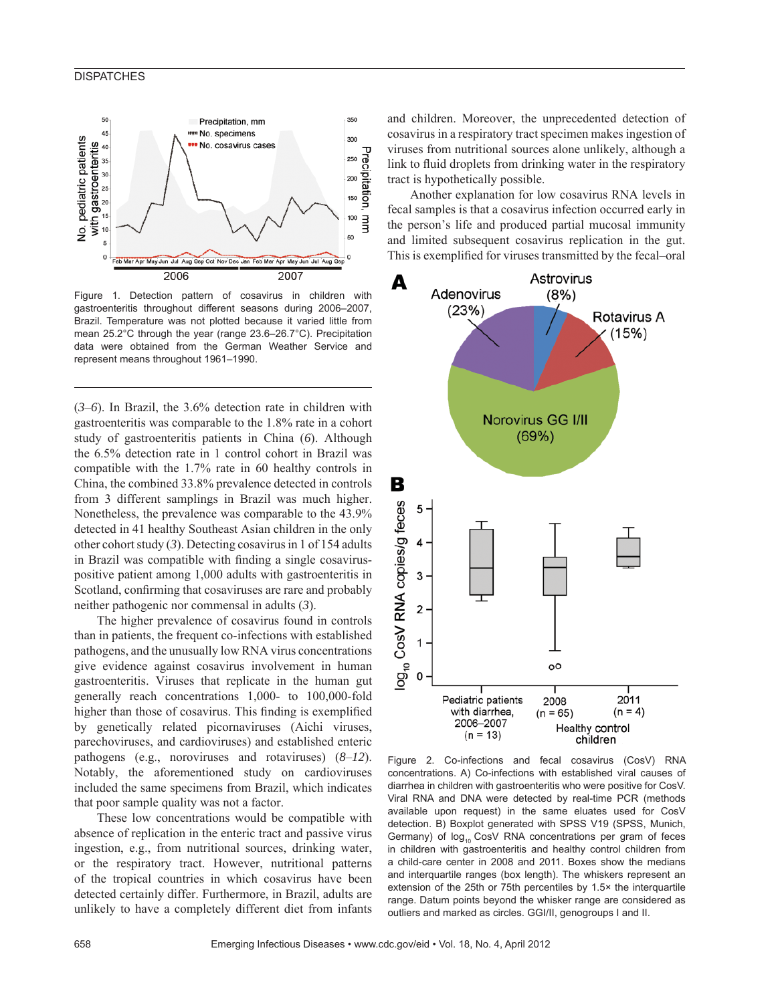#### **DISPATCHES**



Figure 1. Detection pattern of cosavirus in children with gastroenteritis throughout different seasons during 2006–2007, Brazil. Temperature was not plotted because it varied little from mean 25.2°C through the year (range 23.6–26.7°C). Precipitation data were obtained from the German Weather Service and represent means throughout 1961–1990.

(*3*–*6*). In Brazil, the 3.6% detection rate in children with gastroenteritis was comparable to the 1.8% rate in a cohort study of gastroenteritis patients in China (*6*). Although the 6.5% detection rate in 1 control cohort in Brazil was compatible with the 1.7% rate in 60 healthy controls in China, the combined 33.8% prevalence detected in controls from 3 different samplings in Brazil was much higher. Nonetheless, the prevalence was comparable to the 43.9% detected in 41 healthy Southeast Asian children in the only other cohort study (*3*). Detecting cosavirus in 1 of 154 adults in Brazil was compatible with finding a single cosaviruspositive patient among 1,000 adults with gastroenteritis in Scotland, confirming that cosaviruses are rare and probably neither pathogenic nor commensal in adults (*3*).

The higher prevalence of cosavirus found in controls than in patients, the frequent co-infections with established pathogens, and the unusually low RNA virus concentrations give evidence against cosavirus involvement in human gastroenteritis. Viruses that replicate in the human gut generally reach concentrations 1,000- to 100,000-fold higher than those of cosavirus. This finding is exemplified by genetically related picornaviruses (Aichi viruses, parechoviruses, and cardioviruses) and established enteric pathogens (e.g., noroviruses and rotaviruses) (*8*–*12*). Notably, the aforementioned study on cardioviruses included the same specimens from Brazil, which indicates that poor sample quality was not a factor.

These low concentrations would be compatible with absence of replication in the enteric tract and passive virus ingestion, e.g., from nutritional sources, drinking water, or the respiratory tract. However, nutritional patterns of the tropical countries in which cosavirus have been detected certainly differ. Furthermore, in Brazil, adults are unlikely to have a completely different diet from infants and children. Moreover, the unprecedented detection of cosavirus in a respiratory tract specimen makes ingestion of viruses from nutritional sources alone unlikely, although a link to fluid droplets from drinking water in the respiratory tract is hypothetically possible.

Another explanation for low cosavirus RNA levels in fecal samples is that a cosavirus infection occurred early in the person's life and produced partial mucosal immunity and limited subsequent cosavirus replication in the gut. This is exemplified for viruses transmitted by the fecal–oral



Figure 2. Co-infections and fecal cosavirus (CosV) RNA concentrations. A) Co-infections with established viral causes of diarrhea in children with gastroenteritis who were positive for CosV. Viral RNA and DNA were detected by real-time PCR (methods available upon request) in the same eluates used for CosV detection. B) Boxplot generated with SPSS V19 (SPSS, Munich, Germany) of  $log_{10}$  CosV RNA concentrations per gram of feces in children with gastroenteritis and healthy control children from a child-care center in 2008 and 2011. Boxes show the medians and interquartile ranges (box length). The whiskers represent an extension of the 25th or 75th percentiles by 1.5× the interquartile range. Datum points beyond the whisker range are considered as outliers and marked as circles. GGI/II, genogroups I and II.